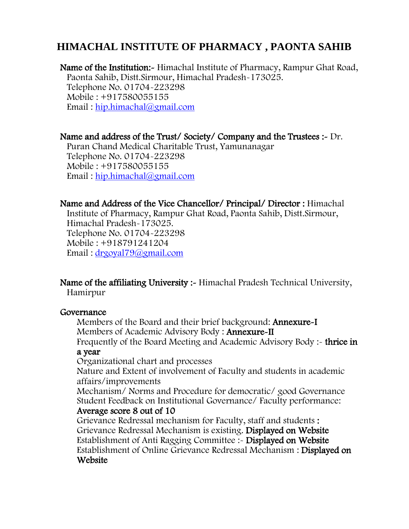Name of the Institution: Himachal Institute of Pharmacy, Rampur Ghat Road, Paonta Sahib, Distt.Sirmour, Himachal Pradesh-173025. Telephone No. 01704-223298 Mobile : +917580055155 Email : [hip.himachal@gmail.com](mailto:hip.himachal@gmail.com)

Name and address of the Trust/ Society/ Company and the Trustees :- Dr. Puran Chand Medical Charitable Trust, Yamunanagar Telephone No. 01704-223298 Mobile : +917580055155 Email : [hip.himachal@gmail.com](mailto:hip.himachal@gmail.com)

Name and Address of the Vice Chancellor/ Principal/ Director : Himachal Institute of Pharmacy, Rampur Ghat Road, Paonta Sahib, Distt.Sirmour, Himachal Pradesh-173025. Telephone No. 01704-223298 Mobile : +918791241204 Email : [drgoyal79@gmail.com](mailto:drgoyal79@gmail.com)

Name of the affiliating University :- Himachal Pradesh Technical University, Hamirpur

#### Governance

Members of the Board and their brief background: Annexure-I Members of Academic Advisory Body : Annexure-II

Frequently of the Board Meeting and Academic Advisory Body :- thrice in a year

Organizational chart and processes

Nature and Extent of involvement of Faculty and students in academic affairs/improvements

Mechanism/ Norms and Procedure for democratic/ good Governance Student Feedback on Institutional Governance/ Faculty performance:

#### Average score 8 out of 10

Grievance Redressal mechanism for Faculty, staff and students : Grievance Redressal Mechanism is existing. Displayed on Website Establishment of Anti Ragging Committee :- Displayed on Website Establishment of Online Grievance Redressal Mechanism : Displayed on **Website**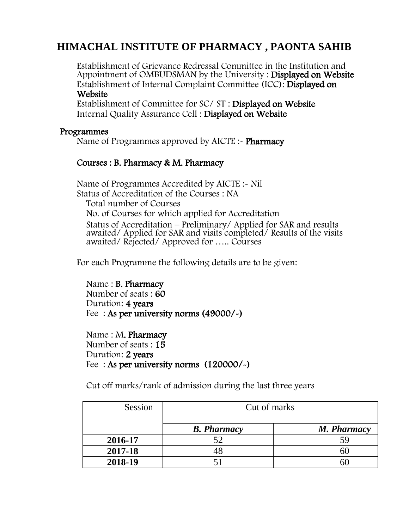Establishment of Grievance Redressal Committee in the Institution and Appointment of OMBUDSMAN by the University : Displayed on Website Establishment of Internal Complaint Committee (ICC): Displayed on Website

Establishment of Committee for SC/ ST : Displayed on Website Internal Quality Assurance Cell : Displayed on Website

#### Programmes

Name of Programmes approved by AICTE : Pharmacy

#### Courses : B. Pharmacy & M. Pharmacy

Name of Programmes Accredited by AICTE :- Nil Status of Accreditation of the Courses : NA Total number of Courses No. of Courses for which applied for Accreditation Status of Accreditation – Preliminary/ Applied for SAR and results awaited/ Applied for SAR and visits completed/ Results of the visits awaited/ Rejected/ Approved for ….. Courses

For each Programme the following details are to be given:

Name : B. Pharmacy Number of seats : 60 Duration: 4 years Fee : As per university norms (49000/-)

Name : M. Pharmacy Number of seats : 15 Duration: 2 years Fee : As per university norms (120000/-)

Cut off marks/rank of admission during the last three years

| Session | Cut of marks       |             |  |  |  |  |
|---------|--------------------|-------------|--|--|--|--|
|         | <b>B.</b> Pharmacy | M. Pharmacy |  |  |  |  |
| 2016-17 |                    | 59          |  |  |  |  |
| 2017-18 |                    |             |  |  |  |  |
| 2018-19 |                    |             |  |  |  |  |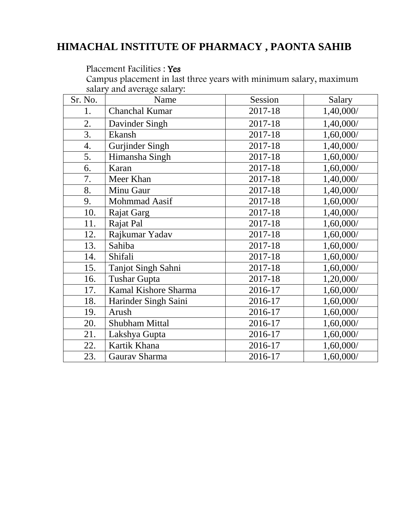#### Placement Facilities : Yes

Campus placement in last three years with minimum salary, maximum salary and average salary:

| Sr. No.          | Name                      | Session | Salary    |
|------------------|---------------------------|---------|-----------|
| 1.               | Chanchal Kumar            | 2017-18 | 1,40,000/ |
| 2.               | Davinder Singh            | 2017-18 | 1,40,000/ |
| $\overline{3}$ . | Ekansh                    | 2017-18 | 1,60,000/ |
| 4.               | <b>Gurjinder Singh</b>    | 2017-18 | 1,40,000/ |
| 5.               | Himansha Singh            | 2017-18 | 1,60,000/ |
| 6.               | Karan                     | 2017-18 | 1,60,000/ |
| 7.               | Meer Khan                 | 2017-18 | 1,40,000/ |
| 8.               | Minu Gaur                 | 2017-18 | 1,40,000/ |
| 9.               | Mohmmad Aasif             | 2017-18 | 1,60,000/ |
| 10.              | Rajat Garg                | 2017-18 | 1,40,000/ |
| 11.              | Rajat Pal                 | 2017-18 | 1,60,000/ |
| 12.              | Rajkumar Yadav            | 2017-18 | 1,60,000/ |
| 13.              | Sahiba                    | 2017-18 | 1,60,000/ |
| 14.              | Shifali                   | 2017-18 | 1,60,000/ |
| 15.              | <b>Tanjot Singh Sahni</b> | 2017-18 | 1,60,000/ |
| 16.              | <b>Tushar Gupta</b>       | 2017-18 | 1,20,000/ |
| 17.              | Kamal Kishore Sharma      | 2016-17 | 1,60,000/ |
| 18.              | Harinder Singh Saini      | 2016-17 | 1,60,000/ |
| 19.              | Arush                     | 2016-17 | 1,60,000/ |
| 20.              | <b>Shubham Mittal</b>     | 2016-17 | 1,60,000/ |
| 21.              | Lakshya Gupta             | 2016-17 | 1,60,000/ |
| 22.              | Kartik Khana              | 2016-17 | 1,60,000/ |
| 23.              | Gaurav Sharma             | 2016-17 | 1,60,000/ |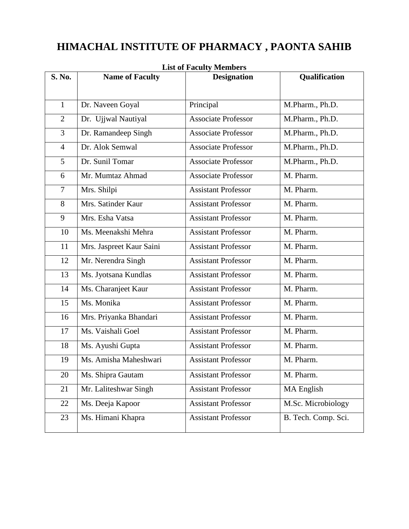| S. No.         | <b>Name of Faculty</b>   | <b>Designation</b>         | Qualification       |
|----------------|--------------------------|----------------------------|---------------------|
|                |                          |                            |                     |
| $\mathbf{1}$   | Dr. Naveen Goyal         | Principal                  | M.Pharm., Ph.D.     |
| $\overline{2}$ | Dr. Ujjwal Nautiyal      | <b>Associate Professor</b> | M.Pharm., Ph.D.     |
| $\overline{3}$ | Dr. Ramandeep Singh      | <b>Associate Professor</b> | M.Pharm., Ph.D.     |
| $\overline{4}$ | Dr. Alok Semwal          | <b>Associate Professor</b> | M.Pharm., Ph.D.     |
| 5              | Dr. Sunil Tomar          | <b>Associate Professor</b> | M.Pharm., Ph.D.     |
| 6              | Mr. Mumtaz Ahmad         | <b>Associate Professor</b> | M. Pharm.           |
| $\overline{7}$ | Mrs. Shilpi              | <b>Assistant Professor</b> | M. Pharm.           |
| 8              | Mrs. Satinder Kaur       | <b>Assistant Professor</b> | M. Pharm.           |
| 9              | Mrs. Esha Vatsa          | <b>Assistant Professor</b> | M. Pharm.           |
| 10             | Ms. Meenakshi Mehra      | <b>Assistant Professor</b> | M. Pharm.           |
| 11             | Mrs. Jaspreet Kaur Saini | <b>Assistant Professor</b> | M. Pharm.           |
| 12             | Mr. Nerendra Singh       | <b>Assistant Professor</b> | M. Pharm.           |
| 13             | Ms. Jyotsana Kundlas     | <b>Assistant Professor</b> | M. Pharm.           |
| 14             | Ms. Charanjeet Kaur      | <b>Assistant Professor</b> | M. Pharm.           |
| 15             | Ms. Monika               | <b>Assistant Professor</b> | M. Pharm.           |
| 16             | Mrs. Priyanka Bhandari   | <b>Assistant Professor</b> | M. Pharm.           |
| 17             | Ms. Vaishali Goel        | <b>Assistant Professor</b> | M. Pharm.           |
| 18             | Ms. Ayushi Gupta         | <b>Assistant Professor</b> | M. Pharm.           |
| 19             | Ms. Amisha Maheshwari    | <b>Assistant Professor</b> | M. Pharm.           |
| 20             | Ms. Shipra Gautam        | <b>Assistant Professor</b> | M. Pharm.           |
| 21             | Mr. Laliteshwar Singh    | <b>Assistant Professor</b> | MA English          |
| 22             | Ms. Deeja Kapoor         | <b>Assistant Professor</b> | M.Sc. Microbiology  |
| 23             | Ms. Himani Khapra        | <b>Assistant Professor</b> | B. Tech. Comp. Sci. |

**List of Faculty Members**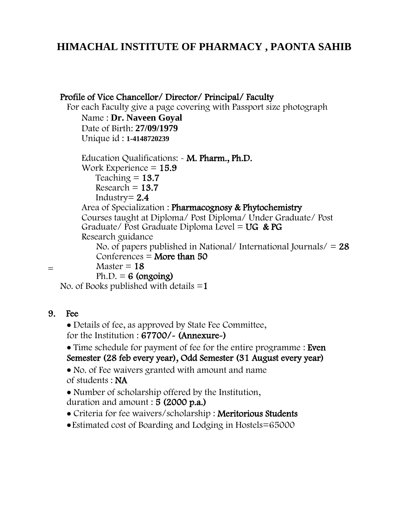#### Profile of Vice Chancellor/ Director/ Principal/ Faculty

For each Faculty give a page covering with Passport size photograph

Name : **Dr. Naveen Goyal** Date of Birth: **27/09/1979** Unique id : **1-4148720239**

Education Qualifications: - M. Pharm., Ph.D. Work Experience  $= 15.9$ Teaching  $= 13.7$  $Research = 13.7$ Industry $= 2.4$ Area of Specialization : Pharmacognosy & Phytochemistry Courses taught at Diploma/ Post Diploma/ Under Graduate/ Post Graduate/ Post Graduate Diploma Level =  $UG & PG$ Research guidance No. of papers published in National/ International Journals/  $= 28$ 

Conferences  $=$  More than 50

 $-$  Master = 18

 $Ph.D. = 6$  (ongoing)

No. of Books published with details  $=1$ 

#### 9. Fee

 Details of fee, as approved by State Fee Committee, for the Institution : 67700/- (Annexure-)

• Time schedule for payment of fee for the entire programme : Even Semester (28 feb every year), Odd Semester (31 August every year)

 No. of Fee waivers granted with amount and name of students : NA

• Number of scholarship offered by the Institution, duration and amount : 5 (2000 p.a.)

- Criteria for fee waivers/scholarship : Meritorious Student[s](https://www.nitrocollege.com/scholarships/merit-based)
- Estimated cost of Boarding and Lodging in Hostels=65000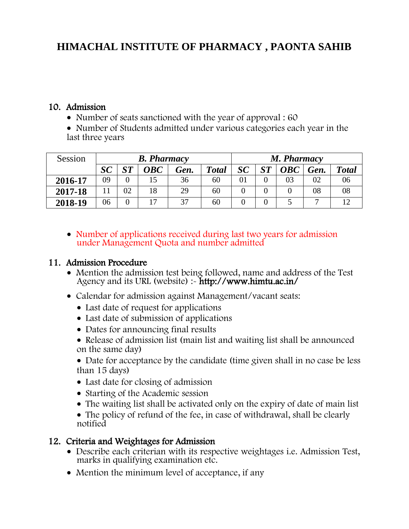#### 10. Admission

• Number of seats sanctioned with the year of approval : 60

 Number of Students admitted under various categories each year in the last three years

| Session | <b>B.</b> Pharmacy |                         |                                                    |      |              |    | M. Pharmacy             |                                                    |      |              |  |
|---------|--------------------|-------------------------|----------------------------------------------------|------|--------------|----|-------------------------|----------------------------------------------------|------|--------------|--|
|         | SC                 | $\mathbf{C} \mathbf{T}$ | $\boldsymbol{O}$ $\boldsymbol{B}$ $\boldsymbol{C}$ | Gen. | <b>Total</b> | SC | $\mathbf{C} \mathbf{T}$ | $\boldsymbol{O}$ $\boldsymbol{B}$ $\boldsymbol{C}$ | Gen. | <b>Total</b> |  |
| 2016-17 | 09                 |                         |                                                    | 36   | 60           | 01 |                         | 03                                                 | 02   | 06           |  |
| 2017-18 |                    | 02                      | 18                                                 | 29   | 60           |    |                         |                                                    | 08   | 08           |  |
| 2018-19 | 06                 |                         |                                                    | 37   | 60           |    |                         |                                                    |      |              |  |

• Number of applications received during last two years for admission under Management Quota and number admitted

#### 11. Admission Procedure

- Mention the admission test being followed, name and address of the Test Agency and its URL (website) :- http://www.himtu.ac.in/
- Calendar for admission against Management/vacant seats:
	- Last date of request for applications
	- Last date of submission of applications
	- Dates for announcing final results
	- Release of admission list (main list and waiting list shall be announced on the same day)
	- Date for acceptance by the candidate (time given shall in no case be less than 15 days)
	- Last date for closing of admission
	- Starting of the Academic session
	- The waiting list shall be activated only on the expiry of date of main list
	- The policy of refund of the fee, in case of withdrawal, shall be clearly notified

#### 12. Criteria and Weightages for Admission

- Describe each criterian with its respective weightages i.e. Admission Test, marks in qualifying examination etc.
- Mention the minimum level of acceptance, if any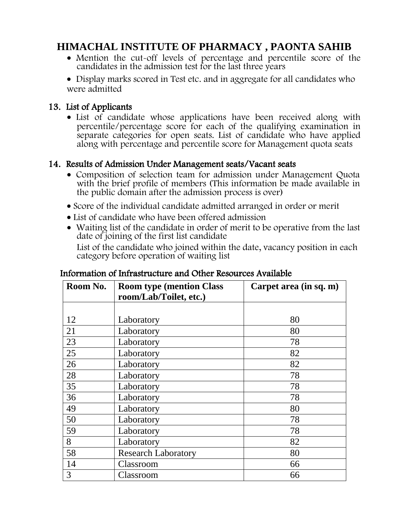Mention the cut-off levels of percentage and percentile score of the candidates in the admission test for the last three years

• Display marks scored in Test etc. and in aggregate for all candidates who were admitted

#### 13. List of Applicants

• List of candidate whose applications have been received along with percentile/percentage score for each of the qualifying examination in separate categories for open seats. List of candidate who have applied along with percentage and percentile score for Management quota seats

#### 14. Results of Admission Under Management seats/Vacant seats

- Composition of selection team for admission under Management Quota with the brief profile of members (This information be made available in the public domain after the admission process is over)
- Score of the individual candidate admitted arranged in order or merit
- List of candidate who have been offered admission
- Waiting list of the candidate in order of merit to be operative from the last date of joining of the first list candidate

List of the candidate who joined within the date, vacancy position in each category before operation of waiting list

| Room No. | <b>Room type (mention Class)</b><br>room/Lab/Toilet, etc.) | Carpet area (in sq. m) |  |  |  |
|----------|------------------------------------------------------------|------------------------|--|--|--|
|          |                                                            |                        |  |  |  |
| 12       | Laboratory                                                 | 80                     |  |  |  |
| 21       | Laboratory                                                 | 80                     |  |  |  |
| 23       | Laboratory                                                 | 78                     |  |  |  |
| 25       | Laboratory                                                 | 82                     |  |  |  |
| 26       | Laboratory                                                 | 82                     |  |  |  |
| 28       | Laboratory                                                 | 78                     |  |  |  |
| 35       | Laboratory                                                 | 78                     |  |  |  |
| 36       | Laboratory                                                 | 78                     |  |  |  |
| 49       | Laboratory                                                 | 80                     |  |  |  |
| 50       | Laboratory                                                 | 78                     |  |  |  |
| 59       | Laboratory                                                 | 78                     |  |  |  |
| 8        | Laboratory                                                 | 82                     |  |  |  |
| 58       | <b>Research Laboratory</b>                                 | 80                     |  |  |  |
| 14       | Classroom                                                  | 66                     |  |  |  |
| 3        | Classroom                                                  | 66                     |  |  |  |

#### Information of Infrastructure and Other Resources Available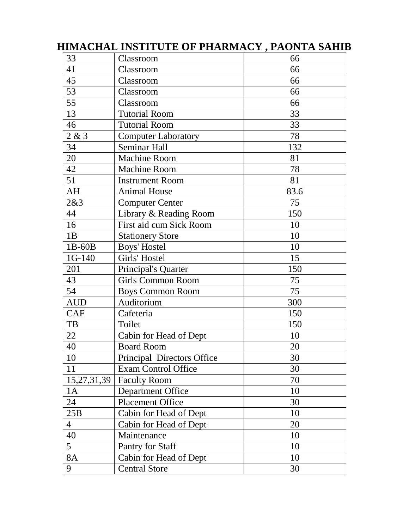| 33             | Classroom                  | 66   |
|----------------|----------------------------|------|
| 41             | Classroom                  | 66   |
| 45             | Classroom                  | 66   |
| 53             | Classroom                  | 66   |
| 55             | Classroom                  | 66   |
| 13             | <b>Tutorial Room</b>       | 33   |
| 46             | <b>Tutorial Room</b>       | 33   |
| 2 & 3          | <b>Computer Laboratory</b> | 78   |
| 34             | Seminar Hall               | 132  |
| 20             | Machine Room               | 81   |
| 42             | <b>Machine Room</b>        | 78   |
| 51             | <b>Instrument Room</b>     | 81   |
| AH             | <b>Animal House</b>        | 83.6 |
| 2&3            | <b>Computer Center</b>     | 75   |
| 44             | Library & Reading Room     | 150  |
| 16             | First aid cum Sick Room    | 10   |
| 1B             | <b>Stationery Store</b>    | 10   |
| 1B-60B         | <b>Boys' Hostel</b>        | 10   |
| 1G-140         | Girls' Hostel              | 15   |
| 201            | Principal's Quarter        | 150  |
| 43             | <b>Girls Common Room</b>   | 75   |
| 54             | <b>Boys Common Room</b>    | 75   |
| <b>AUD</b>     | Auditorium                 | 300  |
| <b>CAF</b>     | Cafeteria                  | 150  |
| TB             | Toilet                     | 150  |
| 22             | Cabin for Head of Dept     | 10   |
| 40             | <b>Board Room</b>          | 20   |
| 10             | Principal Directors Office | 30   |
| 11             | <b>Exam Control Office</b> | 30   |
| 15,27,31,39    | <b>Faculty Room</b>        | 70   |
| 1A             | <b>Department Office</b>   | 10   |
| 24             | <b>Placement Office</b>    | 30   |
| 25B            | Cabin for Head of Dept     | 10   |
| $\overline{4}$ | Cabin for Head of Dept     | 20   |
| 40             | Maintenance                | 10   |
| 5              | Pantry for Staff           | 10   |
| <b>8A</b>      | Cabin for Head of Dept     | 10   |
| 9              | <b>Central Store</b>       | 30   |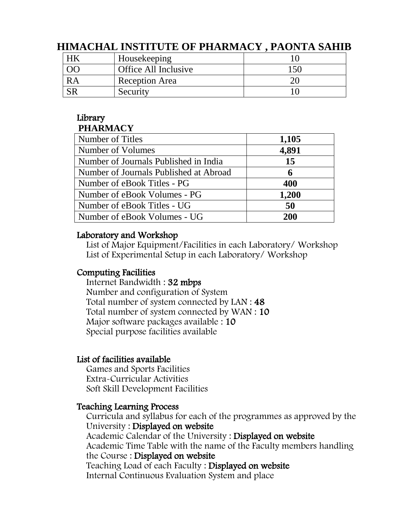| Housekeeping         |     |
|----------------------|-----|
| Office All Inclusive | 15٢ |
| Reception Area       |     |
| Security             |     |

# Library

### **PHARMACY**

| 1,105      |
|------------|
| 4,891      |
| 15         |
| 6          |
| 400        |
| 1,200      |
| 50         |
| <b>200</b> |
|            |

#### Laboratory and Workshop

List of Major Equipment/Facilities in each Laboratory/ Workshop List of Experimental Setup in each Laboratory/ Workshop

#### Computing Facilities

Internet Bandwidth : 32 mbps Number and configuration of System Total number of system connected by LAN : 48 Total number of system connected by WAN : 10 Major software packages available : 10 Special purpose facilities available

#### List of facilities available

Games and Sports Facilities Extra-Curricular Activities Soft Skill Development Facilities

#### Teaching Learning Process

Curricula and syllabus for each of the programmes as approved by the University : Displayed on website Academic Calendar of the University : Displayed on website Academic Time Table with the name of the Faculty members handling the Course : Displayed on website Teaching Load of each Faculty : Displayed on website Internal Continuous Evaluation System and place